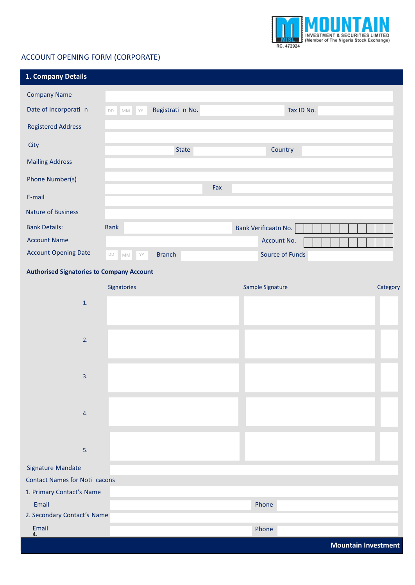

## ACCOUNT OPENING FORM (CORPORATE)

| 1. Company Details                               |                                                                |                      |                            |
|--------------------------------------------------|----------------------------------------------------------------|----------------------|----------------------------|
| <b>Company Name</b>                              |                                                                |                      |                            |
| Date of Incorporati n                            | Registrati n No.<br>DD MM YY                                   | Tax ID No.           |                            |
| <b>Registered Address</b>                        |                                                                |                      |                            |
| City                                             | <b>State</b>                                                   | Country              |                            |
| <b>Mailing Address</b>                           |                                                                |                      |                            |
| Phone Number(s)                                  |                                                                |                      |                            |
| E-mail                                           | Fax                                                            |                      |                            |
| <b>Nature of Business</b>                        |                                                                |                      |                            |
| <b>Bank Details:</b>                             | <b>Bank</b>                                                    | Bank Verificaatn No. |                            |
| <b>Account Name</b>                              |                                                                | Account No.          |                            |
| <b>Account Opening Date</b>                      | <b>Branch</b><br>$\mathsf{DD}$<br>$\mathbb{M}\mathbb{M}$<br>YY | Source of Funds      |                            |
| <b>Authorised Signatories to Company Account</b> |                                                                |                      |                            |
|                                                  | Signatories                                                    | Sample Signature     | Category                   |
| 1.                                               |                                                                |                      |                            |
|                                                  |                                                                |                      |                            |
| 2.                                               |                                                                |                      |                            |
|                                                  |                                                                |                      |                            |
|                                                  |                                                                |                      |                            |
| 3.                                               |                                                                |                      |                            |
|                                                  |                                                                |                      |                            |
| 4.                                               |                                                                |                      |                            |
|                                                  |                                                                |                      |                            |
| 5.                                               |                                                                |                      |                            |
| <b>Signature Mandate</b>                         |                                                                |                      |                            |
| <b>Contact Names for Noti cacons</b>             |                                                                |                      |                            |
| 1. Primary Contact's Name                        |                                                                |                      |                            |
| Email                                            |                                                                | Phone                |                            |
| 2. Secondary Contact's Name                      |                                                                |                      |                            |
| Email<br>4.                                      |                                                                | Phone                |                            |
|                                                  |                                                                |                      | <b>Mountain Investment</b> |